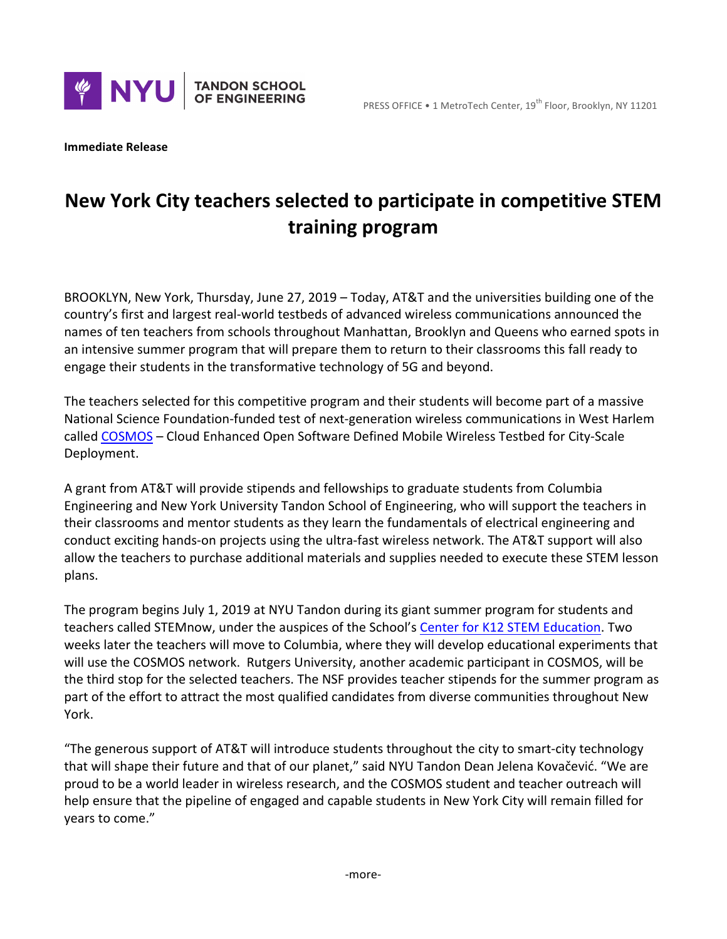

**Immediate Release** 

## **New York City teachers selected to participate in competitive STEM training program**

BROOKLYN, New York, Thursday, June 27, 2019 – Today, AT&T and the universities building one of the country's first and largest real-world testbeds of advanced wireless communications announced the names of ten teachers from schools throughout Manhattan, Brooklyn and Queens who earned spots in an intensive summer program that will prepare them to return to their classrooms this fall ready to engage their students in the transformative technology of 5G and beyond.

The teachers selected for this competitive program and their students will become part of a massive National Science Foundation-funded test of next-generation wireless communications in West Harlem called COSMOS - Cloud Enhanced Open Software Defined Mobile Wireless Testbed for City-Scale Deployment.

A grant from AT&T will provide stipends and fellowships to graduate students from Columbia Engineering and New York University Tandon School of Engineering, who will support the teachers in their classrooms and mentor students as they learn the fundamentals of electrical engineering and conduct exciting hands-on projects using the ultra-fast wireless network. The AT&T support will also allow the teachers to purchase additional materials and supplies needed to execute these STEM lesson plans.

The program begins July 1, 2019 at NYU Tandon during its giant summer program for students and teachers called STEMnow, under the auspices of the School's Center for K12 STEM Education. Two weeks later the teachers will move to Columbia, where they will develop educational experiments that will use the COSMOS network. Rutgers University, another academic participant in COSMOS, will be the third stop for the selected teachers. The NSF provides teacher stipends for the summer program as part of the effort to attract the most qualified candidates from diverse communities throughout New York.

"The generous support of AT&T will introduce students throughout the city to smart-city technology that will shape their future and that of our planet," said NYU Tandon Dean Jelena Kovačević. "We are proud to be a world leader in wireless research, and the COSMOS student and teacher outreach will help ensure that the pipeline of engaged and capable students in New York City will remain filled for vears to come."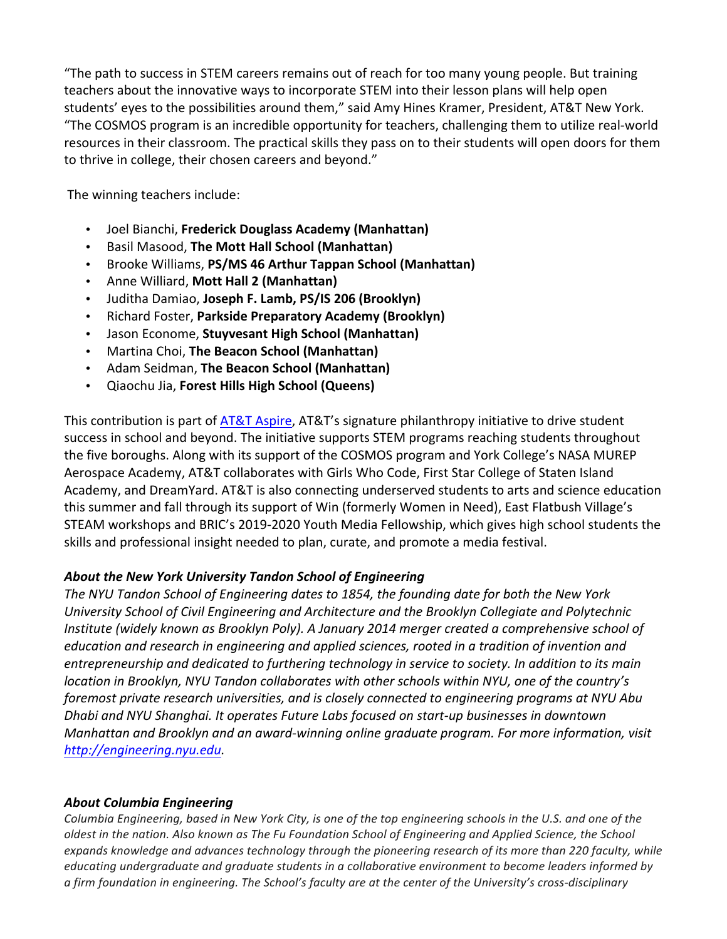"The path to success in STEM careers remains out of reach for too many young people. But training teachers about the innovative ways to incorporate STEM into their lesson plans will help open students' eyes to the possibilities around them," said Amy Hines Kramer, President, AT&T New York. "The COSMOS program is an incredible opportunity for teachers, challenging them to utilize real-world resources in their classroom. The practical skills they pass on to their students will open doors for them to thrive in college, their chosen careers and beyond."

The winning teachers include:

- Joel Bianchi, **Frederick Douglass Academy (Manhattan)**
- Basil Masood, **The Mott Hall School (Manhattan)**
- Brooke Williams, PS/MS 46 Arthur Tappan School (Manhattan)
- Anne Williard, Mott Hall 2 (Manhattan)
- Juditha Damiao, **Joseph F. Lamb, PS/IS 206 (Brooklyn)**
- Richard Foster, **Parkside Preparatory Academy (Brooklyn)**
- Jason Econome, Stuyvesant High School (Manhattan)
- Martina Choi, The Beacon School (Manhattan)
- Adam Seidman, **The Beacon School (Manhattan)**
- Qiaochu Jia, **Forest Hills High School (Queens)**

This contribution is part of AT&T Aspire, AT&T's signature philanthropy initiative to drive student success in school and beyond. The initiative supports STEM programs reaching students throughout the five boroughs. Along with its support of the COSMOS program and York College's NASA MUREP Aerospace Academy, AT&T collaborates with Girls Who Code, First Star College of Staten Island Academy, and DreamYard. AT&T is also connecting underserved students to arts and science education this summer and fall through its support of Win (formerly Women in Need), East Flatbush Village's STEAM workshops and BRIC's 2019-2020 Youth Media Fellowship, which gives high school students the skills and professional insight needed to plan, curate, and promote a media festival.

## About the New York University Tandon School of Engineering

The NYU Tandon School of Engineering dates to 1854, the founding date for both the New York *University School of Civil Engineering and Architecture and the Brooklyn Collegiate and Polytechnic Institute* (widely known as Brooklyn Poly). A January 2014 merger created a comprehensive school of education and research in engineering and applied sciences, rooted in a tradition of invention and entrepreneurship and dedicated to furthering technology in service to society. In addition to its main *location in Brooklyn, NYU Tandon collaborates with other schools within NYU, one of the country's foremost private research universities, and is closely connected to engineering programs at NYU Abu Dhabi* and NYU Shanghai. It operates Future Labs focused on start-up businesses in downtown *Manhattan and Brooklyn and an award-winning online graduate program. For more information, visit http://engineering.nyu.edu.*

## *About Columbia Engineering*

*Columbia Engineering, based in New York City, is one of the top engineering schools in the U.S. and one of the oldest in the nation. Also known as The Fu Foundation School of Engineering and Applied Science, the School* expands knowledge and advances technology through the pioneering research of its more than 220 faculty, while *educating* undergraduate and graduate students in a collaborative environment to become leaders informed by *a firm foundation in engineering. The School's faculty are at the center of the University's cross-disciplinary*